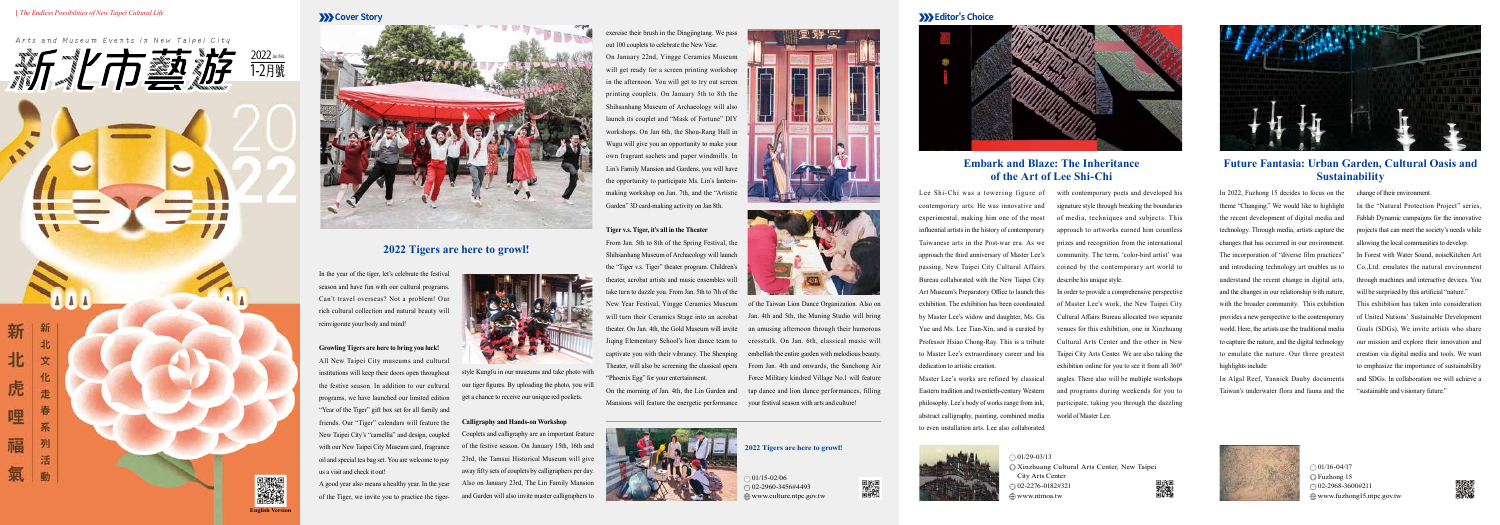虎

哩



### **Arts and Museum Events in New Taipei City**

In the year of the tiger, let's celebrate the festival season and have fun with our cultural programs. Can't travel overseas? Not a problem! Our rich cultural collection and natural beauty will reinvigorate your body and mind!

### **Growling Tigers are here to bring you luck!**

All New Taipei City museums and cultural institutions will keep their doors open throughout the festive season. In addition to our cultural programs, we have launched our limited edition "Year of the Tiger" gift box set for all family and friends. Our "Tiger" calendars will feature the New Taipei City's "camellia" and design, coupled with our New Taipei City Museum card, fragrance oil and special tea bag set. You are welcome to pay us a visit and check it out!

A good year also means a healthy year. In the year of the Tiger, we invite you to practice the tigerLee Shi-Chi was a towering figure of with contemporary poets and developed his signature style through breaking the boundaries of media, techniques and subjects. This approach to artworks earned him countless prizes and recognition from the international community. The term, 'color-bird artist' was coined by the contemporary art world to describe his unique style.

contemporary arts. He was innovative and experimental, making him one of the most influential artists in the history of contemporary Taiwanese arts in the Post-war era. As we approach the third anniversary of Master Lee's passing, New Taipei City Cultural Affairs Bureau collaborated with the New Taipei City Art Museum's Preparatory Office to launch this exhibition. The exhibition has been coordinated by Master Lee's widow and daughter, Ms. Gu Yue and Ms. Lee Tian-Xin, and is curated by Professor Hsiao Chong-Ray. This is a tribute to Master Lee's extraordinary career and his dedication to artistic creation.

Master Lee's works are refined by classical Eastern tradition and twentieth-century Western philosophy. Lee's body of works range from ink, abstract calligraphy, painting, combined media to even installation arts. Lee also collaborated

In order to provide a comprehensive perspective of Master Lee's work, the New Taipei City Cultural Affairs Bureau allocated two separate venues for this exhibition, one in Xinzhuang Cultural Arts Center and the other in New Taipei City Arts Center. We are also taking the exhibition online for you to see it from all 360° angles. There also will be multiple workshops and programs during weekends for you to participate, taking you through the dazzling world of Master Lee.



In 2022, Fuzhong 15 decides to focus on the change of their environment. theme "Changing." We would like to highlight In the "Natural Protection Project" series, the recent development of digital media and technology. Through media, artists capture the changes that has occurred in our environment. The incorporation of "diverse film practices" and introducing technology art enables us to understand the recent change in digital arts, and the changes in our relationship with nature, with the broader community. This exhibition provides a new perspective to the contemporary world. Here, the artists use the traditional media to capture the nature, and the digital technology to emulate the nature. Our three greatest highlights include:

 $01/15 - 02/06$  02-2960-3456#4493 www.culture.ntpc.gov.tw







In Algal Reef, Yannick Dauby documents Taiwan's underwater flora and fauna and the

 $01/29 - 03/13$ www.ntmoa.tw



 $\odot$  01/16-04/17 Fuzhong 15 02-2968-3600#211 www.fuzhong15.ntpc.gov.tw



Fablab Dynamic campaigns for the innovative projects that can meet the society's needs while allowing the local communities to develop. In Forest with Water Sound, noiseKitchen Art Co.,Ltd. emulates the natural environment through machines and interactive devices. You will be surprised by this artificial "nature." This exhibition has taken into consideration of United Nations' Sustainable Development Goals (SDGs). We invite artists who share our mission and explore their innovation and creation via digital media and tools. We want to emphasize the importance of sustainability and SDGs. In collaboration we will achieve a "sustainable and visionary future."

## **2022 Tigers are here to growl!**

## **Embark and Blaze: The Inheritance of the Art of Lee Shi-Chi**

# **Future Fantasia: Urban Garden, Cultural Oasis and Sustainability**

style Kungfu in our museums and take photo with our tiger figures. By uploading the photo, you will get a chance to receive our unique red pockets.

#### **Calligraphy and Hands-on Workshop**

Couplets and calligraphy are an important feature of the festive season. On January 15th, 16th and 23rd, the Tamsui Historical Museum will give away fifty sets of couplets by calligraphers per day. Also on January 23rd, The Lin Family Mansion and Garden will also invite master calligraphers to

exercise their brush in the Dingjingtang. We pass out 100 couplets to celebrate the New Year. On January 22nd, Yingge Ceramics Museum will get ready for a screen printing workshop in the afternoon. You will get to try out screen printing couplets. On January 5th to 8th the Shihsanhang Museum of Archaeology will also launch its couplet and "Mask of Fortune" DIY workshops. On Jan 6th, the Shou-Rang Hall in Wugu will give you an opportunity to make your own fragrant sachets and paper windmills. In Lin's Family Mansion and Gardens, you will have the opportunity to participate Ms. Lin's lanternmaking workshop on Jan. 7th, and the "Artistic Garden" 3D card-making activity on Jan 8th.



From Jan. 5th to 8th of the Spring Festival, the Shihsanhang Museum of Archaeology will launch the "Tiger v.s. Tiger" theater program. Children's theater, acrobat artists and music ensembles will take turn to dazzle you. From Jan. 5th to 7th of the New Year Festival, Yingge Ceramics Museum of the Taiwan Lion Dance Organization. Also on will turn their Ceramics Stage into an acrobat theater. On Jan. 4th, the Gold Museum will invite Jiqing Elementary School's lion dance team to captivate you with their vibrancy. The Shenping Theater, will also be screening the classical opera "Phoenix Egg" for your entertainment.

On the morning of Jan. 4th, the Lin Garden and Mansions will feature the energetic performance your festival season with arts and culture!



FТ

Jan. 4th and 5th, the Muning Studio will bring an amusing afternoon through their humorous crosstalk. On Jan. 6th, classical music will embellish the entire garden with melodious beauty. From Jan. 4th and onwards, the Sanchong Air Force Military kindred Village No.1 will feature tap dance and lion dance performances, filling

> Xinzhuang Cultural Arts Center, New Taipei City Arts Center 02-2276-0182#321



驧

### **2022 Tigers are here to growl!**







**English Version**

■ 双翼<br>『 文化学<br>■ 『 大学